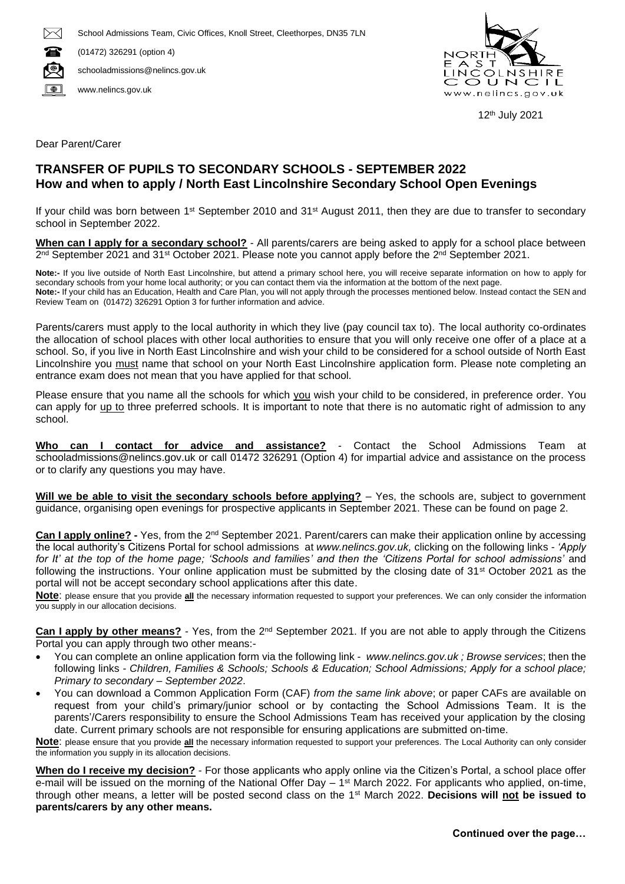

(01472) 326291 (option 4)

O schooladmissions@nelincs.gov.uk

 $\Box$ www.nelincs.gov.uk



12 th July 2021

Dear Parent/Carer

## **TRANSFER OF PUPILS TO SECONDARY SCHOOLS - SEPTEMBER 2022 How and when to apply / North East Lincolnshire Secondary School Open Evenings**

If your child was born between 1<sup>st</sup> September 2010 and 31<sup>st</sup> August 2011, then they are due to transfer to secondary school in September 2022.

**When can I apply for a secondary school?** - All parents/carers are being asked to apply for a school place between 2<sup>nd</sup> September 2021 and 31<sup>st</sup> October 2021. Please note you cannot apply before the 2<sup>nd</sup> September 2021.

**Note:-** If you live outside of North East Lincolnshire, but attend a primary school here, you will receive separate information on how to apply for secondary schools from your home local authority; or you can contact them via the information at the bottom of the next page. **Note:-** If your child has an Education, Health and Care Plan, you will not apply through the processes mentioned below. Instead contact the SEN and Review Team on (01472) 326291 Option 3 for further information and advice.

Parents/carers must apply to the local authority in which they live (pay council tax to). The local authority co-ordinates the allocation of school places with other local authorities to ensure that you will only receive one offer of a place at a school. So, if you live in North East Lincolnshire and wish your child to be considered for a school outside of North East Lincolnshire you must name that school on your North East Lincolnshire application form. Please note completing an entrance exam does not mean that you have applied for that school.

Please ensure that you name all the schools for which you wish your child to be considered, in preference order. You can apply for up to three preferred schools. It is important to note that there is no automatic right of admission to any school.

**Who can I contact for advice and assistance?** - Contact the School Admissions Team at schooladmissions@nelincs.gov.uk or call 01472 326291 (Option 4) for impartial advice and assistance on the process or to clarify any questions you may have.

**Will we be able to visit the secondary schools before applying?** – Yes, the schools are, subject to government guidance, organising open evenings for prospective applicants in September 2021. These can be found on page 2.

**Can I apply online? -** Yes, from the 2nd September 2021. Parent/carers can make their application online by accessing the local authority's Citizens Portal for school admissions at *www.nelincs.gov.uk,* clicking on the following links - *'Apply for It' at the top of the home page; 'Schools and families' and then the 'Citizens Portal for school admissions'* and following the instructions. Your online application must be submitted by the closing date of 31<sup>st</sup> October 2021 as the portal will not be accept secondary school applications after this date.

**Note**: please ensure that you provide **all** the necessary information requested to support your preferences. We can only consider the information you supply in our allocation decisions.

Can I apply by other means? - Yes, from the 2<sup>nd</sup> September 2021. If you are not able to apply through the Citizens Portal you can apply through two other means:-

- You can complete an online application form via the following link *www.nelincs.gov.uk ; Browse services*; then the following links *- Children, Families & Schools; Schools & Education; School Admissions; Apply for a school place; Primary to secondary – September 2022*.
- You can download a Common Application Form (CAF) *from the same link above*; or paper CAFs are available on request from your child's primary/junior school or by contacting the School Admissions Team. It is the parents'/Carers responsibility to ensure the School Admissions Team has received your application by the closing date. Current primary schools are not responsible for ensuring applications are submitted on-time.

**Note**: please ensure that you provide **all** the necessary information requested to support your preferences. The Local Authority can only consider the information you supply in its allocation decisions.

**When do I receive my decision?** - For those applicants who apply online via the Citizen's Portal, a school place offer e-mail will be issued on the morning of the National Offer Day – 1<sup>st</sup> March 2022. For applicants who applied, on-time, through other means, a letter will be posted second class on the 1st March 2022. **Decisions will not be issued to parents/carers by any other means.**